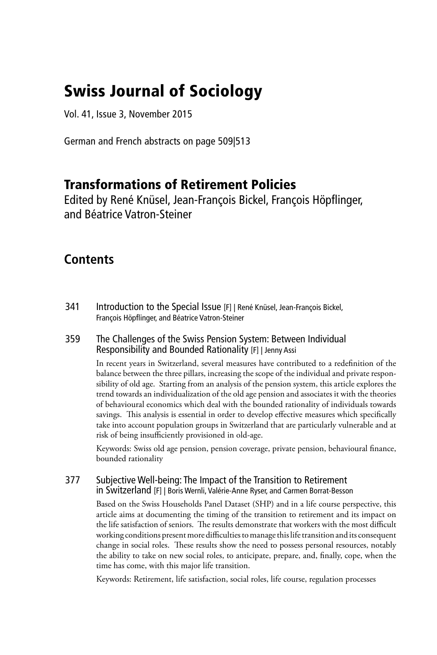# Swiss Journal of Sociology

Vol. 41, Issue 3, November 2015

German and French abstracts on page 509|513

# Transformations of Retirement Policies

Edited by René Knüsel, Jean-François Bickel, François Höpflinger, and Béatrice Vatron-Steiner

# **Contents**

341 Introduction to the Special Issue [F] | René Knüsel, Jean-François Bickel, François Höpflinger, and Béatrice Vatron-Steiner

# 359 The Challenges of the Swiss Pension System: Between Individual Responsibility and Bounded Rationality [F] | Jenny Assi

In recent years in Switzerland, several measures have contributed to a redefinition of the balance between the three pillars, increasing the scope of the individual and private responsibility of old age. Starting from an analysis of the pension system, this article explores the trend towards an individualization of the old age pension and associates it with the theories of behavioural economics which deal with the bounded rationality of individuals towards savings. This analysis is essential in order to develop effective measures which specifically take into account population groups in Switzerland that are particularly vulnerable and at risk of being insufficiently provisioned in old-age.

Keywords: Swiss old age pension, pension coverage, private pension, behavioural finance, bounded rationality

# 377 Subjective Well-being: The Impact of the Transition to Retirement in Switzerland [F] | Boris Wernli, Valérie-Anne Ryser, and Carmen Borrat-Besson

Based on the Swiss Households Panel Dataset (SHP) and in a life course perspective, this article aims at documenting the timing of the transition to retirement and its impact on the life satisfaction of seniors. The results demonstrate that workers with the most difficult working conditions present more difficulties to manage this life transition and its consequent change in social roles. These results show the need to possess personal resources, notably the ability to take on new social roles, to anticipate, prepare, and, finally, cope, when the time has come, with this major life transition.

Keywords: Retirement, life satisfaction, social roles, life course, regulation processes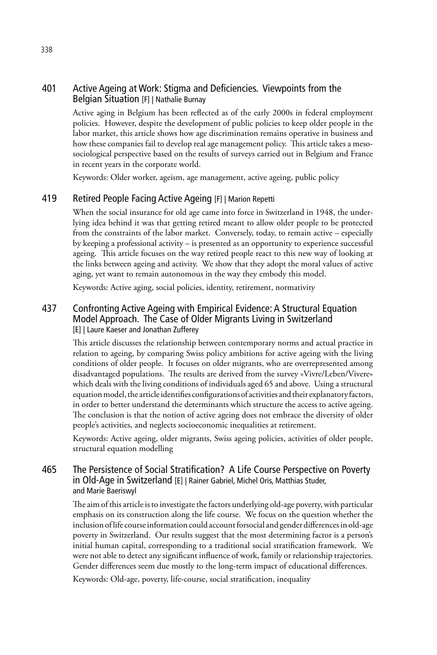# 401 Active Ageing at Work: Stigma and Deficiencies. Viewpoints from the Belgian Situation [F] | Nathalie Burnay

Active aging in Belgium has been reflected as of the early 2000s in federal employment policies. However, despite the development of public policies to keep older people in the labor market, this article shows how age discrimination remains operative in business and how these companies fail to develop real age management policy. This article takes a mesosociological perspective based on the results of surveys carried out in Belgium and France in recent years in the corporate world.

Keywords: Older worker, ageism, age management, active ageing, public policy

## 419 Retired People Facing Active Ageing [F] | Marion Repetti

When the social insurance for old age came into force in Switzerland in 1948, the underlying idea behind it was that getting retired meant to allow older people to be protected from the constraints of the labor market. Conversely, today, to remain active – especially by keeping a professional activity – is presented as an opportunity to experience successful ageing. This article focuses on the way retired people react to this new way of looking at the links between ageing and activity. We show that they adopt the moral values of active aging, yet want to remain autonomous in the way they embody this model.

Keywords: Active aging, social policies, identity, retirement, normativity

# 437 Confronting Active Ageing with Empirical Evidence: A Structural Equation Model Approach. The Case of Older Migrants Living in Switzerland [E] | Laure Kaeser and Jonathan Zufferey

This article discusses the relationship between contemporary norms and actual practice in relation to ageing, by comparing Swiss policy ambitions for active ageing with the living conditions of older people. It focuses on older migrants, who are overrepresented among disadvantaged populations. The results are derived from the survey «Vivre/Leben/Vivere» which deals with the living conditions of individuals aged 65 and above. Using a structural equation model, the article identifies configurations of activities and their explanatory factors, in order to better understand the determinants which structure the access to active ageing. The conclusion is that the notion of active ageing does not embrace the diversity of older people's activities, and neglects socioeconomic inequalities at retirement.

Keywords: Active ageing, older migrants, Swiss ageing policies, activities of older people, structural equation modelling

# 465 The Persistence of Social Stratification? A Life Course Perspective on Poverty in Old-Age in Switzerland [E] | Rainer Gabriel, Michel Oris, Matthias Studer, and Marie Baeriswyl

The aim of this article is to investigate the factors underlying old-age poverty, with particular emphasis on its construction along the life course. We focus on the question whether the inclusion of life course information could account forsocial and gender differences in old-age poverty in Switzerland. Our results suggest that the most determining factor is a person's initial human capital, corresponding to a traditional social stratification framework. We were not able to detect any significant influence of work, family or relationship trajectories. Gender differences seem due mostly to the long-term impact of educational differences.

Keywords: Old-age, poverty, life-course, social stratification, inequality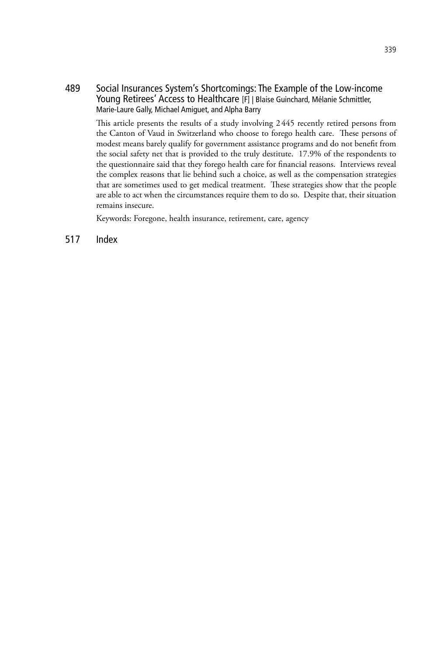489 Social Insurances System's Shortcomings: The Example of the Low-income Young Retirees' Access to Healthcare [F] | Blaise Guinchard, Mélanie Schmittler, Marie-Laure Gally, Michael Amiguet, and Alpha Barry

This article presents the results of a study involving 2445 recently retired persons from the Canton of Vaud in Switzerland who choose to forego health care. These persons of modest means barely qualify for government assistance programs and do not benefit from the social safety net that is provided to the truly destitute. 17.9% of the respondents to the questionnaire said that they forego health care for financial reasons. Interviews reveal the complex reasons that lie behind such a choice, as well as the compensation strategies that are sometimes used to get medical treatment. These strategies show that the people are able to act when the circumstances require them to do so. Despite that, their situation remains insecure.

Keywords: Foregone, health insurance, retirement, care, agency

517 Index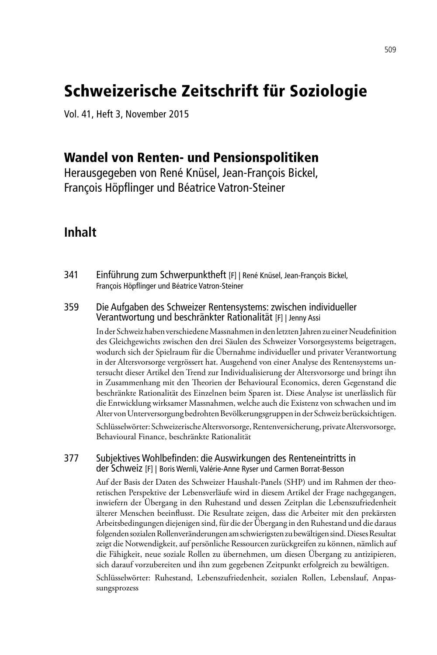# Schweizerische Zeitschrift für Soziologie

Vol. 41, Heft 3, November 2015

# Wandel von Renten- und Pensionspolitiken

Herausgegeben von René Knüsel, Jean-François Bickel, François Höpflinger und Béatrice Vatron-Steiner

# **Inhalt**

341 Einführung zum Schwerpunktheft [F] | René Knüsel, Jean-François Bickel, François Höpflinger und Béatrice Vatron-Steiner

## 359 Die Aufgaben des Schweizer Rentensystems: zwischen individueller Verantwortung und beschränkter Rationalität [F] | Jenny Assi

In der Schweiz haben verschiedene Massnahmen in den letzten Jahren zu einer Neudefinition des Gleichgewichts zwischen den drei Säulen des Schweizer Vorsorgesystems beigetragen, wodurch sich der Spielraum für die Übernahme individueller und privater Verantwortung in der Altersvorsorge vergrössert hat. Ausgehend von einer Analyse des Rentensystems untersucht dieser Artikel den Trend zur Individualisierung der Altersvorsorge und bringt ihn in Zusammenhang mit den Theorien der Behavioural Economics, deren Gegenstand die beschränkte Rationalität des Einzelnen beim Sparen ist. Diese Analyse ist unerlässlich für die Entwicklung wirksamer Massnahmen, welche auch die Existenz von schwachen und im Alter von Unterversorgung bedrohten Bevölkerungsgruppen in der Schweiz berücksichtigen.

Schlüsselwörter: Schweizerische Altersvorsorge, Rentenversicherung, private Altersvorsorge, Behavioural Finance, beschränkte Rationalität

#### 377 Subjektives Wohlbefinden: die Auswirkungen des Renteneintritts in der Schweiz [F] | Boris Wernli, Valérie-Anne Ryser und Carmen Borrat-Besson

Auf der Basis der Daten des Schweizer Haushalt-Panels (SHP) und im Rahmen der theoretischen Perspektive der Lebensverläufe wird in diesem Artikel der Frage nachgegangen, inwiefern der Übergang in den Ruhestand und dessen Zeitplan die Lebenszufriedenheit älterer Menschen beeinflusst. Die Resultate zeigen, dass die Arbeiter mit den prekärsten Arbeitsbedingungen diejenigen sind, für die der Übergang in den Ruhestand und die daraus folgenden sozialen Rollenveränderungen am schwierigsten zu bewältigen sind. Dieses Resultat zeigt die Notwendigkeit, auf persönliche Ressourcen zurückgreifen zu können, nämlich auf die Fähigkeit, neue soziale Rollen zu übernehmen, um diesen Übergang zu antizipieren, sich darauf vorzubereiten und ihn zum gegebenen Zeitpunkt erfolgreich zu bewältigen.

Schlüsselwörter: Ruhestand, Lebenszufriedenheit, sozialen Rollen, Lebenslauf, Anpassungsprozess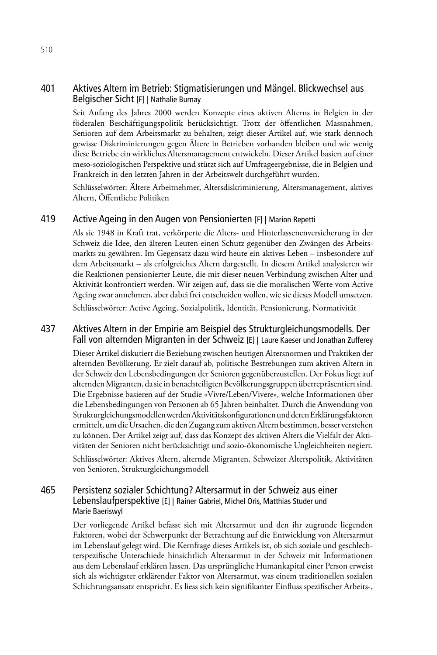# 401 Aktives Altern im Betrieb: Stigmatisierungen und Mängel. Blickwechsel aus Belgischer Sicht [F] | Nathalie Burnay

Seit Anfang des Jahres 2000 werden Konzepte eines aktiven Alterns in Belgien in der föderalen Beschäftigungspolitik berücksichtigt. Trotz der öffentlichen Massnahmen, Senioren auf dem Arbeitsmarkt zu behalten, zeigt dieser Artikel auf, wie stark dennoch gewisse Diskriminierungen gegen Ältere in Betrieben vorhanden bleiben und wie wenig diese Betriebe ein wirkliches Altersmanagement entwickeln. Dieser Artikel basiert auf einer meso-soziologischen Perspektive und stützt sich auf Umfrageergebnisse, die in Belgien und Frankreich in den letzten Jahren in der Arbeitswelt durchgeführt wurden.

Schlüsselwörter: Ältere Arbeitnehmer, Altersdiskriminierung, Altersmanagement, aktives Altern, Öffentliche Politiken

#### 419 Active Ageing in den Augen von Pensionierten [F] | Marion Repetti

Als sie 1948 in Kraft trat, verkörperte die Alters- und Hinterlassenenversicherung in der Schweiz die Idee, den älteren Leuten einen Schutz gegenüber den Zwängen des Arbeitsmarkts zu gewähren. Im Gegensatz dazu wird heute ein aktives Leben – insbesondere auf dem Arbeitsmarkt – als erfolgreiches Altern dargestellt. In diesem Artikel analysieren wir die Reaktionen pensionierter Leute, die mit dieser neuen Verbindung zwischen Alter und Aktivität konfrontiert werden. Wir zeigen auf, dass sie die moralischen Werte vom Active Ageing zwar annehmen, aber dabei frei entscheiden wollen, wie sie dieses Modell umsetzen.

Schlüsselwörter: Active Ageing, Sozialpolitik, Identität, Pensionierung, Normativität

## 437 Aktives Altern in der Empirie am Beispiel des Strukturgleichungsmodells. Der Fall von alternden Migranten in der Schweiz [E] | Laure Kaeser und Jonathan Zufferey

Dieser Artikel diskutiert die Beziehung zwischen heutigen Altersnormen und Praktiken der alternden Bevölkerung. Er zielt darauf ab, politische Bestrebungen zum aktiven Altern in der Schweiz den Lebensbedingungen der Senioren gegenüberzustellen. Der Fokus liegt auf alternden Migranten, da sie in benachteiligten Bevölkerungsgruppen überrepräsentiert sind. Die Ergebnisse basieren auf der Studie «Vivre/Leben/Vivere», welche Informationen über die Lebensbedingungen von Personen ab 65 Jahren beinhaltet. Durch die Anwendung von Strukturgleichungsmodellen werden Aktivitätskonfigurationen und deren Erklärungsfaktoren ermittelt, um die Ursachen, die den Zugang zum aktiven Altern bestimmen, besser verstehen zu können. Der Artikel zeigt auf, dass das Konzept des aktiven Alters die Vielfalt der Aktivitäten der Senioren nicht berücksichtigt und sozio-ökonomische Ungleichheiten negiert.

Schlüsselwörter: Aktives Altern, alternde Migranten, Schweizer Alterspolitik, Aktivitäten von Senioren, Strukturgleichungsmodell

## 465 Persistenz sozialer Schichtung? Altersarmut in der Schweiz aus einer Lebenslaufperspektive [E] | Rainer Gabriel, Michel Oris, Matthias Studer und Marie Baeriswyl

Der vorliegende Artikel befasst sich mit Altersarmut und den ihr zugrunde liegenden Faktoren, wobei der Schwerpunkt der Betrachtung auf die Entwicklung von Altersarmut im Lebenslauf gelegt wird. Die Kernfrage dieses Artikels ist, ob sich soziale und geschlechterspezifische Unterschiede hinsichtlich Altersarmut in der Schweiz mit Informationen aus dem Lebenslauf erklären lassen. Das ursprüngliche Humankapital einer Person erweist sich als wichtigster erklärender Faktor von Altersarmut, was einem traditionellen sozialen Schichtungsansatz entspricht. Es liess sich kein signifikanter Einfluss spezifischer Arbeits-,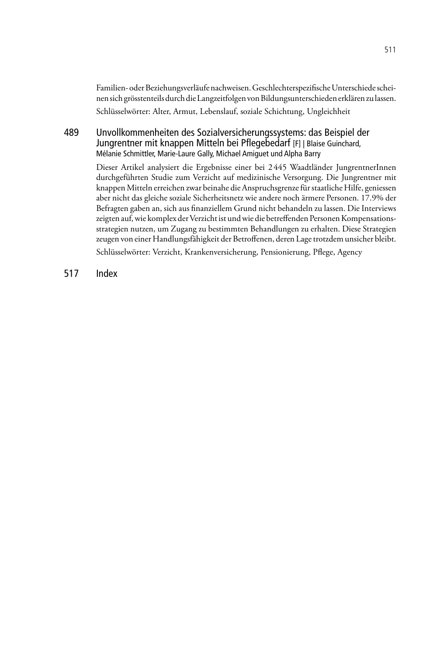Familien- oder Beziehungsverläufe nachweisen. Geschlechterspezifische Unterschiede scheinen sich grösstenteils durch die Langzeitfolgen von Bildungsunterschieden erklären zu lassen. Schlüsselwörter: Alter, Armut, Lebenslauf, soziale Schichtung, Ungleichheit

# 489 Unvollkommenheiten des Sozialversicherungssystems: das Beispiel der Jungrentner mit knappen Mitteln bei Pflegebedarf [F] | Blaise Guinchard, Mélanie Schmittler, Marie-Laure Gally, Michael Amiguet und Alpha Barry

Dieser Artikel analysiert die Ergebnisse einer bei 2445 Waadtländer JungrentnerInnen durchgeführten Studie zum Verzicht auf medizinische Versorgung. Die Jungrentner mit knappen Mitteln erreichen zwar beinahe die Anspruchsgrenze für staatliche Hilfe, geniessen aber nicht das gleiche soziale Sicherheitsnetz wie andere noch ärmere Personen. 17.9% der Befragten gaben an, sich aus finanziellem Grund nicht behandeln zu lassen. Die Interviews zeigten auf, wie komplex der Verzicht ist und wie die betreffenden Personen Kompensationsstrategien nutzen, um Zugang zu bestimmten Behandlungen zu erhalten. Diese Strategien zeugen von einer Handlungsfähigkeit der Betroffenen, deren Lage trotzdem unsicher bleibt.

Schlüsselwörter: Verzicht, Krankenversicherung, Pensionierung, Pflege, Agency

517 Index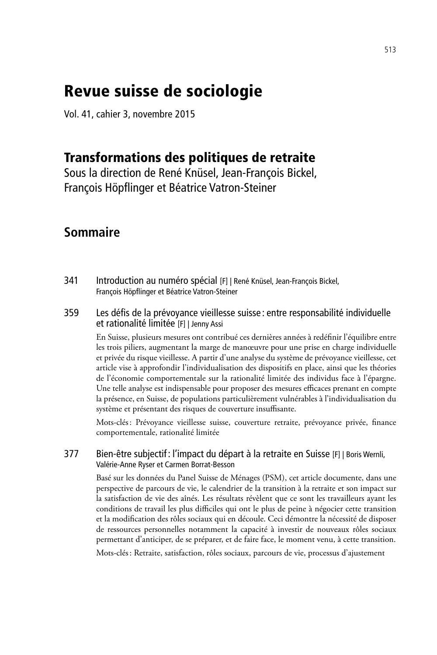# Revue suisse de sociologie

Vol. 41, cahier 3, novembre 2015

# Transformations des politiques de retraite

Sous la direction de René Knüsel, Jean-François Bickel, François Höpflinger et Béatrice Vatron-Steiner

# **Sommaire**

- 341 Introduction au numéro spécial [F] | René Knüsel, Jean-François Bickel, François Höpflinger et Béatrice Vatron-Steiner
- 359 Les défis de la prévoyance vieillesse suisse : entre responsabilité individuelle et rationalité limitée [F] | Jenny Assi

En Suisse, plusieurs mesures ont contribué ces dernières années à redéfinir l'équilibre entre les trois piliers, augmentant la marge de manœuvre pour une prise en charge individuelle et privée du risque vieillesse. A partir d'une analyse du système de prévoyance vieillesse, cet article vise à approfondir l'individualisation des dispositifs en place, ainsi que les théories de l'économie comportementale sur la rationalité limitée des individus face à l'épargne. Une telle analyse est indispensable pour proposer des mesures efficaces prenant en compte la présence, en Suisse, de populations particulièrement vulnérables à l'individualisation du système et présentant des risques de couverture insuffisante.

Mots-clés: Prévoyance vieillesse suisse, couverture retraite, prévoyance privée, finance comportementale, rationalité limitée

# 377 Bien-être subjectif: l'impact du départ à la retraite en Suisse [F] | Boris Wernli, Valérie-Anne Ryser et Carmen Borrat-Besson

Basé sur les données du Panel Suisse de Ménages (PSM), cet article documente, dans une perspective de parcours de vie, le calendrier de la transition à la retraite et son impact sur la satisfaction de vie des aînés. Les résultats révèlent que ce sont les travailleurs ayant les conditions de travail les plus difficiles qui ont le plus de peine à négocier cette transition et la modification des rôles sociaux qui en découle. Ceci démontre la nécessité de disposer de ressources personnelles notamment la capacité à investir de nouveaux rôles sociaux permettant d'anticiper, de se préparer, et de faire face, le moment venu, à cette transition.

Mots-clés: Retraite, satisfaction, rôles sociaux, parcours de vie, processus d'ajustement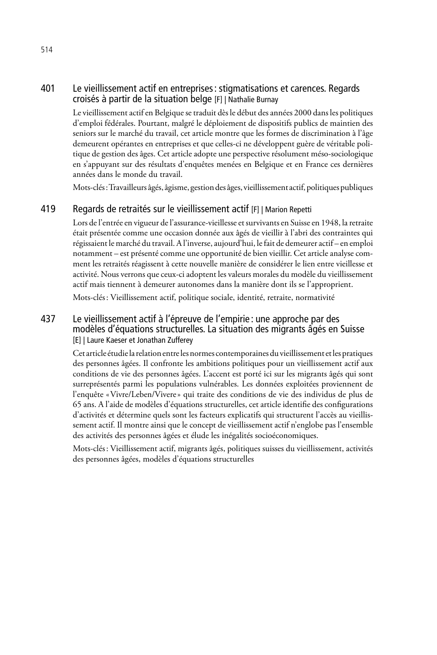# 401 Le vieillissement actif en entreprises: stigmatisations et carences. Regards croisés à partir de la situation belge [F] | Nathalie Burnay

Le vieillissement actif en Belgique se traduit dès le début des années 2000 dans les politiques d'emploi fédérales. Pourtant, malgré le déploiement de dispositifs publics de maintien des seniors sur le marché du travail, cet article montre que les formes de discrimination à l'âge demeurent opérantes en entreprises et que celles-ci ne développent guère de véritable politique de gestion des âges. Cet article adopte une perspective résolument méso-sociologique en s'appuyant sur des résultats d'enquêtes menées en Belgique et en France ces dernières années dans le monde du travail.

Mots-clés: Travailleurs âgés, âgisme, gestion des âges, vieillissement actif, politiques publiques

# 419 Regards de retraités sur le vieillissement actif [F] | Marion Repetti

Lors de l'entrée en vigueur de l'assurance-vieillesse et survivants en Suisse en 1948, la retraite était présentée comme une occasion donnée aux âgés de vieillir à l'abri des contraintes qui régissaient le marché du travail. A l'inverse, aujourd'hui, le fait de demeurer actif – en emploi notamment – est présenté comme une opportunité de bien vieillir. Cet article analyse comment les retraités réagissent à cette nouvelle manière de considérer le lien entre vieillesse et activité. Nous verrons que ceux-ci adoptent les valeurs morales du modèle du vieillissement actif mais tiennent à demeurer autonomes dans la manière dont ils se l'approprient.

Mots-clés: Vieillissement actif, politique sociale, identité, retraite, normativité

## 437 Le vieillissement actif à l'épreuve de l'empirie : une approche par des modèles d'équations structurelles. La situation des migrants âgés en Suisse [E] | Laure Kaeser et Jonathan Zufferey

Cet article étudie la relation entre les normes contemporaines du vieillissement et les pratiques des personnes âgées. Il confronte les ambitions politiques pour un vieillissement actif aux conditions de vie des personnes âgées. L'accent est porté ici sur les migrants âgés qui sont surreprésentés parmi les populations vulnérables. Les données exploitées proviennent de l'enquête «Vivre/Leben/Vivere» qui traite des conditions de vie des individus de plus de 65 ans. A l'aide de modèles d'équations structurelles, cet article identifie des configurations d'activités et détermine quels sont les facteurs explicatifs qui structurent l'accès au vieillissement actif. Il montre ainsi que le concept de vieillissement actif n'englobe pas l'ensemble des activités des personnes âgées et élude les inégalités socioéconomiques.

Mots-clés: Vieillissement actif, migrants âgés, politiques suisses du vieillissement, activités des personnes âgées, modèles d'équations structurelles